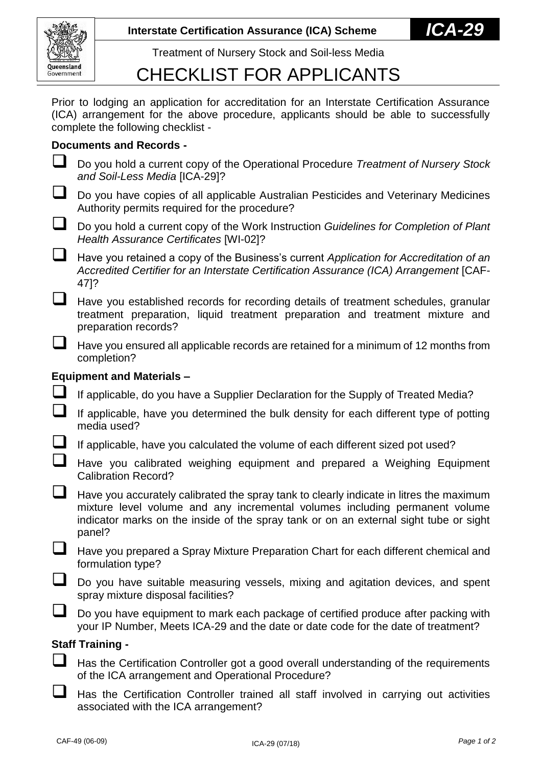

Treatment of Nursery Stock and Soil-less Media

## CHECKLIST FOR APPLICANTS

Prior to lodging an application for accreditation for an Interstate Certification Assurance (ICA) arrangement for the above procedure, applicants should be able to successfully complete the following checklist -

## **Documents and Records -**

- Do you hold a current copy of the Operational Procedure *Treatment of Nursery Stock and Soil-Less Media* [ICA-29]?
- Do you have copies of all applicable Australian Pesticides and Veterinary Medicines Authority permits required for the procedure?
- Do you hold a current copy of the Work Instruction *Guidelines for Completion of Plant Health Assurance Certificates* [WI-02]?
- Have you retained a copy of the Business's current *Application for Accreditation of an Accredited Certifier for an Interstate Certification Assurance (ICA) Arrangement* [CAF-47]?
- $\Box$  Have you established records for recording details of treatment schedules, granular treatment preparation, liquid treatment preparation and treatment mixture and preparation records?
- Have you ensured all applicable records are retained for a minimum of 12 months from completion?

## **Equipment and Materials –**

- If applicable, do you have a Supplier Declaration for the Supply of Treated Media?
	- If applicable, have you determined the bulk density for each different type of potting media used?
- If applicable, have you calculated the volume of each different sized pot used?
- Have you calibrated weighing equipment and prepared a Weighing Equipment Calibration Record?
- Have you accurately calibrated the spray tank to clearly indicate in litres the maximum mixture level volume and any incremental volumes including permanent volume indicator marks on the inside of the spray tank or on an external sight tube or sight panel?
- Have you prepared a Spray Mixture Preparation Chart for each different chemical and formulation type?
- Do you have suitable measuring vessels, mixing and agitation devices, and spent spray mixture disposal facilities?
- Do you have equipment to mark each package of certified produce after packing with your IP Number, Meets ICA-29 and the date or date code for the date of treatment?

## **Staff Training -**

- Has the Certification Controller got a good overall understanding of the requirements of the ICA arrangement and Operational Procedure?
- $\Box$  Has the Certification Controller trained all staff involved in carrying out activities associated with the ICA arrangement?